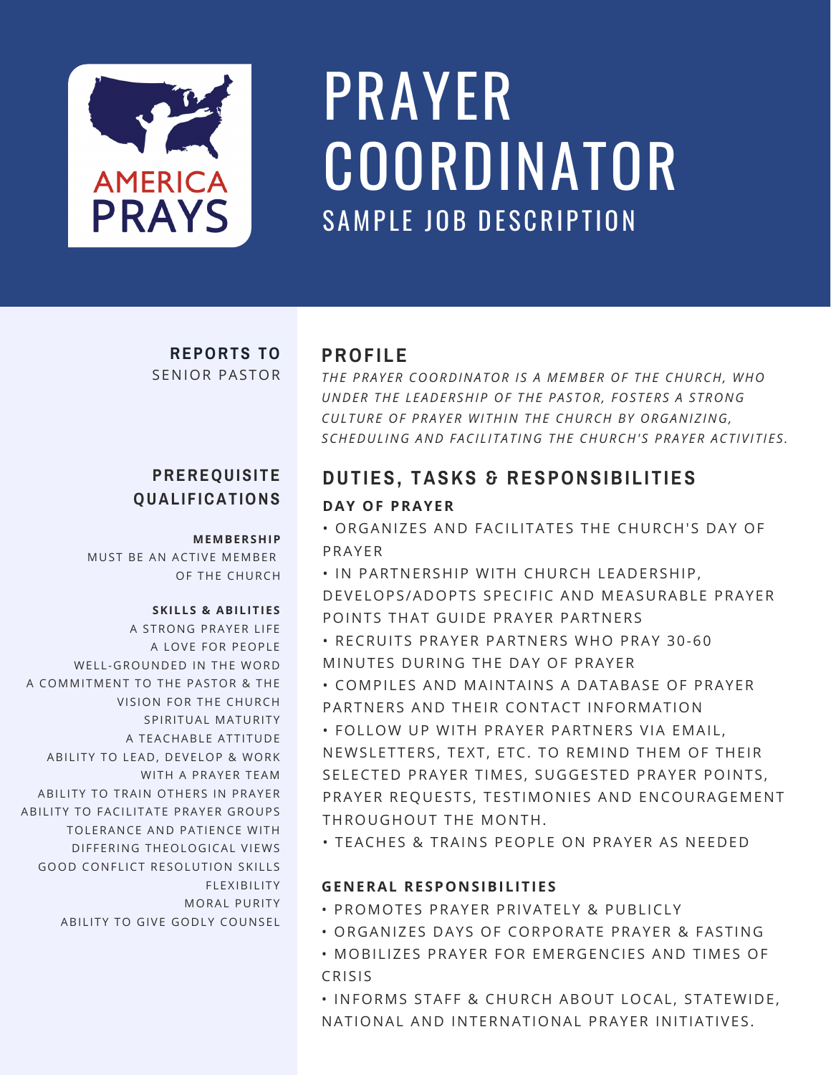

## SAMPLE JOB DESCRIPTION PRAYER COORDINATOR

#### **REPORTS TO** SENIOR PASTOR

## **QUAL I F ICAT IONS**

#### **MEMBERSHIP**

MUST BE AN ACTIVE MEMBER OF THE CHURCH

#### **SKILLS & ABILITIES**

A STRONG PRAYER LIFE A LOVE FOR PEOPLE WELL-GROUNDED IN THE WORD A COMMITMENT TO THE PASTOR & THE VISION FOR THE CHURCH SPIRITUAL MATURITY A TEACHABLE ATTITUDE ABILITY TO LEAD, DEVELOP & WORK WITH A PRAYER TEAM ABILITY TO TRAIN OTHERS IN PRAYER ABILITY TO FACILITATE PRAYER GROUPS TOLERANCE AND PATIENCE WITH DIFFERING THEOLOGICAL VIEWS GOOD CONFLICT RESOLUTION SKILLS FLEXIBILITY MORAL PURITY ABILITY TO GIVE GODLY COUNSEL

### **PROF I LE**

*THE PRAY ER COORDINATOR I S A MEMBER OF THE CHURCH, WHO UNDER THE L EADERSHIP OF THE PAS TOR, FOS T ERS A S TRONG CUL TURE OF PRAY ER WI THIN THE CHURCH BY ORGANIZING, SCHEDUL ING AND FACI L I TAT ING THE CHURCH' S PRAY ER ACT IVI T I E S .*

### **PREREQUISITE DUTIES, TASKS & RESPONSIBILITIES**

#### **DAY OF PRAYER**

• ORGANIZES AND FACILITATES THE CHURCH'S DAY OF PRAYER

• IN PARTNERSHIP WITH CHURCH LEADERSHIP, DEVELOPS/ADOPTS SPECIFIC AND MEASURABLE PRAYER POINTS THAT GUIDE PRAYER PARTNERS

• RECRUITS PRAYER PARTNERS WHO PRAY 30-60 MINUTES DURING THE DAY OF PRAYER

• COMPILES AND MAINTAINS A DATABASE OF PRAYER PARTNERS AND THEIR CONTACT INFORMATION

• FOLLOW UP WITH PRAYER PARTNERS VIA EMAIL, NEWSLETTERS, TEXT, ETC. TO REMIND THEM OF THEIR SELECTED PRAYER TIMES, SUGGESTED PRAYER POINTS, PRAYER REQUESTS, TESTIMONIES AND ENCOURAGEMENT THROUGHOUT THE MONTH.

• TEACHES & TRAINS PEOPLE ON PRAYER AS NEEDED

#### **GENERAL RESPONSIBILITIES**

- PROMOTES PRAYER PRIVATELY & PUBLICLY
- ORGANIZES DAYS OF CORPORATE PRAYER & FASTING
- MOBILIZES PRAYER FOR EMERGENCIES AND TIMES OF CRISIS

• INFORMS STAFF & CHURCH ABOUT LOCAL, STATEWIDE, NATIONAL AND INTERNATIONAL PRAYER INITIATIVES.